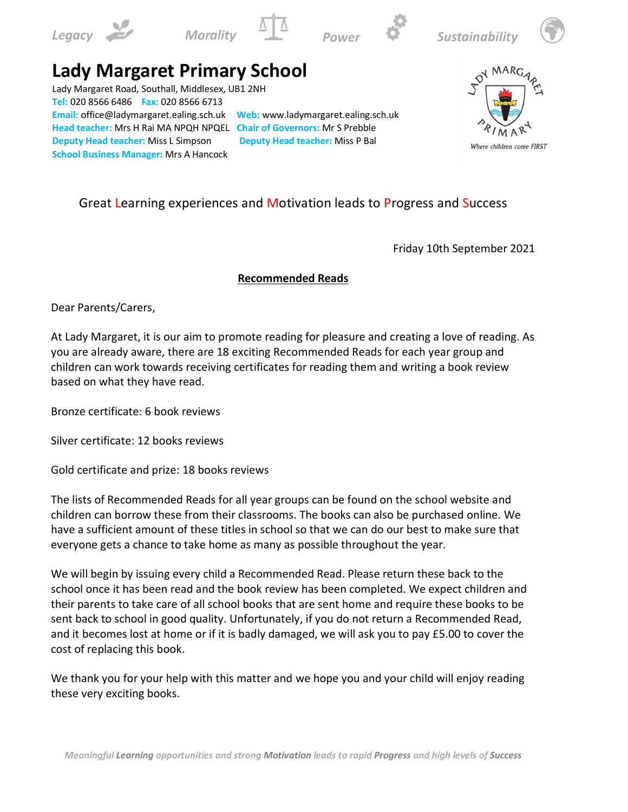











## **Lady Margaret Primary School**

Lady Margaret Road, Southall, Middlesex, UB1 2NH **Tel:** 020 8566 6486 **Fax:** 020 8566 6713 **Email:** office@ladymargaret.ealing.sch.uk **Web:** www.ladymargaret.ealing.sch.uk **Head teacher:** Mrs H Rai MA NPQH NPQEL **Chair of Governors:** Mr S Prebble **Deputy Head teacher:** Miss L Simpson **Deputy Head teacher:** Miss P Bal **School Business Manager:** Mrs A Hancock



## Great Learning experiences and Motivation leads to Progress and Success

Friday 10th September 2021

## **Recommended Reads**

Dear Parents/Carers,

At Lady Margaret, it is our aim to promote reading for pleasure and creating a love of reading. As you are already aware, there are 18 exciting Recommended Reads for each year group and children can work towards receiving certificates for reading them and writing a book review based on what they have read.

Bronze certificate: 6 book reviews

Silver certificate: 12 books reviews

Gold certificate and prize: 18 books reviews

The lists of Recommended Reads for all year groups can be found on the school website and children can borrow these from their classrooms. The books can also be purchased online. We have a sufficient amount of these titles in school so that we can do our best to make sure that everyone gets a chance to take home as many as possible throughout the year.

We will begin by issuing every child a Recommended Read. Please return these back to the school once it has been read and the book review has been completed. We expect children and their parents to take care of all school books that are sent home and require these books to be sent back to school in good quality. Unfortunately, if you do not return a Recommended Read, and it becomes lost at home or if it is badly damaged, we will ask you to pay £5.00 to cover the cost of replacing this book.

We thank you for your help with this matter and we hope you and your child will enjoy reading these very exciting books.